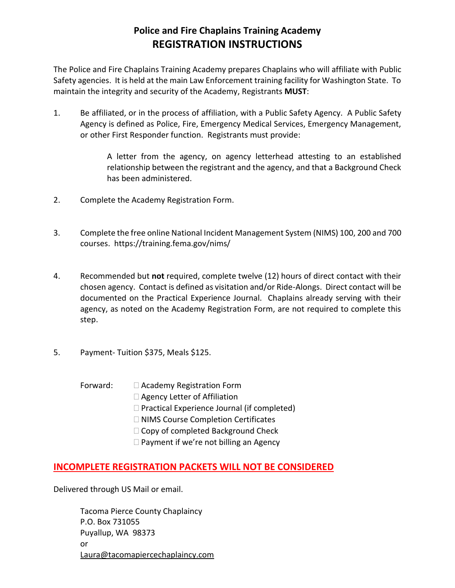## **Police and Fire Chaplains Training Academy REGISTRATION INSTRUCTIONS**

The Police and Fire Chaplains Training Academy prepares Chaplains who will affiliate with Public Safety agencies. It is held at the main Law Enforcement training facility for Washington State. To maintain the integrity and security of the Academy, Registrants **MUST**:

1. Be affiliated, or in the process of affiliation, with a Public Safety Agency. A Public Safety Agency is defined as Police, Fire, Emergency Medical Services, Emergency Management, or other First Responder function. Registrants must provide:

> A letter from the agency, on agency letterhead attesting to an established relationship between the registrant and the agency, and that a Background Check has been administered.

- 2. Complete the Academy Registration Form.
- 3. Complete the free online National Incident Management System (NIMS) 100, 200 and 700 courses. [https://training.fema.gov/nims/](http://training.fema.gov/nims/)
- 4. Recommended but **not** required, complete twelve (12) hours of direct contact with their chosen agency. Contact is defined as visitation and/or Ride-Alongs. Direct contact will be documented on the Practical Experience Journal. Chaplains already serving with their agency, as noted on the Academy Registration Form, are not required to complete this step.
- 5. Payment- Tuition \$375, Meals \$125.
	- Forward:  $\Box$  Academy Registration Form
		- □ Agency Letter of Affiliation
		- $\Box$  Practical Experience Journal (if completed)
		- □ NIMS Course Completion Certificates
		- □ Copy of completed Background Check
		- $\Box$  Payment if we're not billing an Agency

### **INCOMPLETE REGISTRATION PACKETS WILL NOT BE CONSIDERED**

Delivered through US Mail or email.

Tacoma Pierce County Chaplaincy P.O. Box 731055 Puyallup, WA 98373 or [Laura@tacomapiercechaplaincy.com](mailto:Laura@tacomapiercecountychaplaincy.com)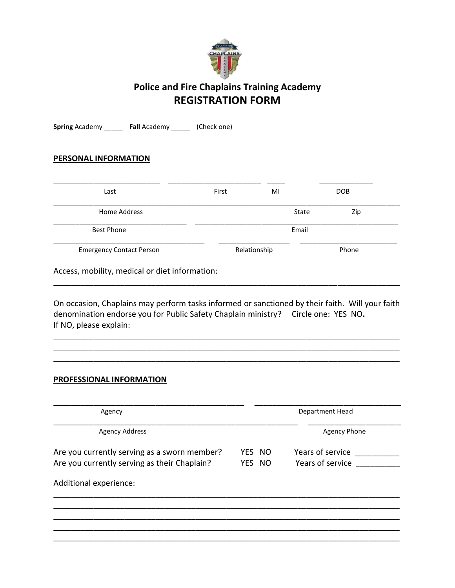

# **Police and Fire Chaplains Training Academy REGISTRATION FORM**

**Spring** Academy \_\_\_\_\_ **Fall** Academy \_\_\_\_\_ (Check one)

#### **PERSONAL INFORMATION**

| Last                            | First | MI           | <b>DOB</b> |  |
|---------------------------------|-------|--------------|------------|--|
| Home Address                    |       | State        | Zip        |  |
| <b>Best Phone</b>               | Email |              |            |  |
| <b>Emergency Contact Person</b> |       | Relationship | Phone      |  |

Access, mobility, medical or diet information:

On occasion, Chaplains may perform tasks informed or sanctioned by their faith. Will your faith denomination endorse you for Public Safety Chaplain ministry? Circle one: YES NO**.** If NO, please explain:

\_\_\_\_\_\_\_\_\_\_\_\_\_\_\_\_\_\_\_\_\_\_\_\_\_\_\_\_\_\_\_\_\_\_\_\_\_\_\_\_\_\_\_\_\_\_\_\_\_\_\_\_\_\_\_\_\_\_\_\_\_\_\_\_\_\_\_\_\_\_\_\_\_\_\_\_\_\_ \_\_\_\_\_\_\_\_\_\_\_\_\_\_\_\_\_\_\_\_\_\_\_\_\_\_\_\_\_\_\_\_\_\_\_\_\_\_\_\_\_\_\_\_\_\_\_\_\_\_\_\_\_\_\_\_\_\_\_\_\_\_\_\_\_\_\_\_\_\_\_\_\_\_\_\_\_\_ \_\_\_\_\_\_\_\_\_\_\_\_\_\_\_\_\_\_\_\_\_\_\_\_\_\_\_\_\_\_\_\_\_\_\_\_\_\_\_\_\_\_\_\_\_\_\_\_\_\_\_\_\_\_\_\_\_\_\_\_\_\_\_\_\_\_\_\_\_\_\_\_\_\_\_\_\_\_

\_\_\_\_\_\_\_\_\_\_\_\_\_\_\_\_\_\_\_\_\_\_\_\_\_\_\_\_\_\_\_\_\_\_\_\_\_\_\_\_\_\_\_\_\_\_\_\_\_\_\_\_\_\_\_\_\_\_\_\_\_\_\_\_\_\_\_\_\_\_\_\_\_\_\_\_\_\_

#### **PROFESSIONAL INFORMATION**

| Agency                                       |        | Department Head     |  |
|----------------------------------------------|--------|---------------------|--|
| <b>Agency Address</b>                        |        | <b>Agency Phone</b> |  |
| Are you currently serving as a sworn member? | YES NO | Years of service    |  |
| Are you currently serving as their Chaplain? | YES NO | Years of service    |  |
| Additional experience:                       |        |                     |  |
|                                              |        |                     |  |
|                                              |        |                     |  |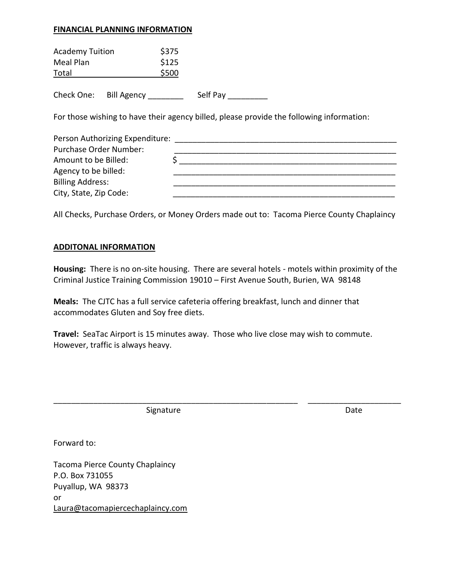#### **FINANCIAL PLANNING INFORMATION**

| <b>Academy Tuition</b><br>Meal Plan<br>Total                     | \$375<br>\$125<br>\$500 |                                                                                          |
|------------------------------------------------------------------|-------------------------|------------------------------------------------------------------------------------------|
| Check One:<br>Bill Agency                                        |                         | Self Pay                                                                                 |
|                                                                  |                         | For those wishing to have their agency billed, please provide the following information: |
| Person Authorizing Expenditure:<br><b>Purchase Order Number:</b> |                         |                                                                                          |

| Amount to be Billed:    |  |
|-------------------------|--|
| Agency to be billed:    |  |
| <b>Billing Address:</b> |  |
| City, State, Zip Code:  |  |

All Checks, Purchase Orders, or Money Orders made out to: Tacoma Pierce County Chaplaincy

#### **ADDITONAL INFORMATION**

**Housing:** There is no on-site housing. There are several hotels - motels within proximity of the Criminal Justice Training Commission 19010 – First Avenue South, Burien, WA 98148

**Meals:** The CJTC has a full service cafeteria offering breakfast, lunch and dinner that accommodates Gluten and Soy free diets.

**Travel:** SeaTac Airport is 15 minutes away. Those who live close may wish to commute. However, traffic is always heavy.

\_\_\_\_\_\_\_\_\_\_\_\_\_\_\_\_\_\_\_\_\_\_\_\_\_\_\_\_\_\_\_\_\_\_\_\_\_\_\_\_\_\_\_\_\_\_\_\_\_\_\_\_\_\_\_ \_\_\_\_\_\_\_\_\_\_\_\_\_\_\_\_\_\_\_\_\_

Signature Date Date

Forward to:

Tacoma Pierce County Chaplaincy P.O. Box 731055 Puyallup, WA 98373 or [Laura@tacomapiercechaplaincy.com](mailto:Laura@tacomapiercechaplaincy.com)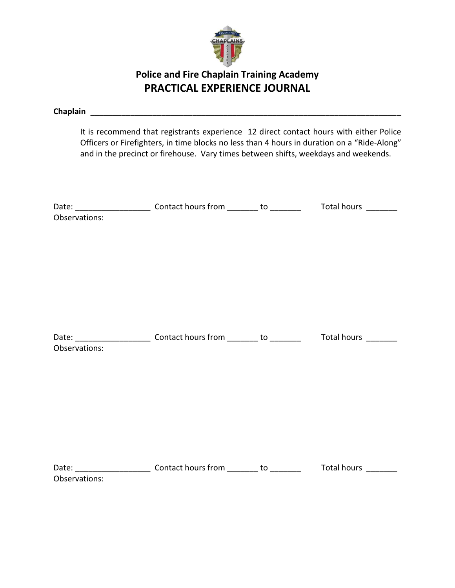

# **Police and Fire Chaplain Training Academy PRACTICAL EXPERIENCE JOURNAL**

|               | and in the precinct or firehouse. Vary times between shifts, weekdays and weekends. | It is recommend that registrants experience 12 direct contact hours with either Police<br>Officers or Firefighters, in time blocks no less than 4 hours in duration on a "Ride-Along" |
|---------------|-------------------------------------------------------------------------------------|---------------------------------------------------------------------------------------------------------------------------------------------------------------------------------------|
|               |                                                                                     |                                                                                                                                                                                       |
| Observations: |                                                                                     |                                                                                                                                                                                       |
| Observations: |                                                                                     |                                                                                                                                                                                       |
| Observations: |                                                                                     |                                                                                                                                                                                       |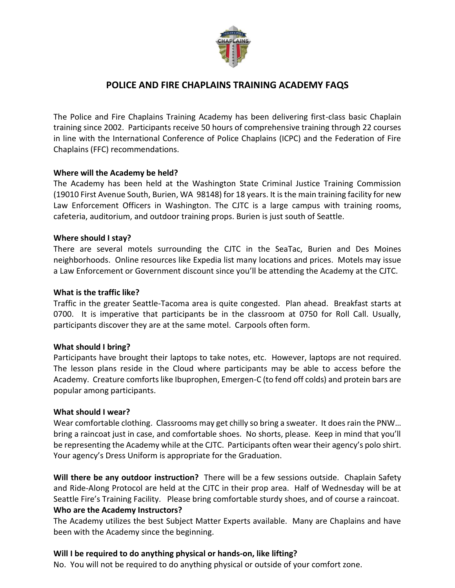

## **POLICE AND FIRE CHAPLAINS TRAINING ACADEMY FAQS**

The Police and Fire Chaplains Training Academy has been delivering first-class basic Chaplain training since 2002. Participants receive 50 hours of comprehensive training through 22 courses in line with the International Conference of Police Chaplains (ICPC) and the Federation of Fire Chaplains (FFC) recommendations.

#### **Where will the Academy be held?**

The Academy has been held at the Washington State Criminal Justice Training Commission (19010 First Avenue South, Burien, WA 98148) for 18 years. It is the main training facility for new Law Enforcement Officers in Washington. The CJTC is a large campus with training rooms, cafeteria, auditorium, and outdoor training props. Burien is just south of Seattle.

#### **Where should I stay?**

There are several motels surrounding the CJTC in the SeaTac, Burien and Des Moines neighborhoods. Online resources like Expedia list many locations and prices. Motels may issue a Law Enforcement or Government discount since you'll be attending the Academy at the CJTC.

#### **What is the traffic like?**

Traffic in the greater Seattle-Tacoma area is quite congested. Plan ahead. Breakfast starts at 0700. It is imperative that participants be in the classroom at 0750 for Roll Call. Usually, participants discover they are at the same motel. Carpools often form.

#### **What should I bring?**

Participants have brought their laptops to take notes, etc. However, laptops are not required. The lesson plans reside in the Cloud where participants may be able to access before the Academy. Creature comforts like Ibuprophen, Emergen-C (to fend off colds) and protein bars are popular among participants.

#### **What should I wear?**

Wear comfortable clothing. Classrooms may get chilly so bring a sweater. It does rain the PNW… bring a raincoat just in case, and comfortable shoes. No shorts, please. Keep in mind that you'll be representing the Academy while at the CJTC. Participants often wear their agency's polo shirt. Your agency's Dress Uniform is appropriate for the Graduation.

**Will there be any outdoor instruction?** There will be a few sessions outside. Chaplain Safety and Ride-Along Protocol are held at the CJTC in their prop area. Half of Wednesday will be at Seattle Fire's Training Facility. Please bring comfortable sturdy shoes, and of course a raincoat. **Who are the Academy Instructors?**

The Academy utilizes the best Subject Matter Experts available. Many are Chaplains and have been with the Academy since the beginning.

#### **Will I be required to do anything physical or hands-on, like lifting?**

No. You will not be required to do anything physical or outside of your comfort zone.